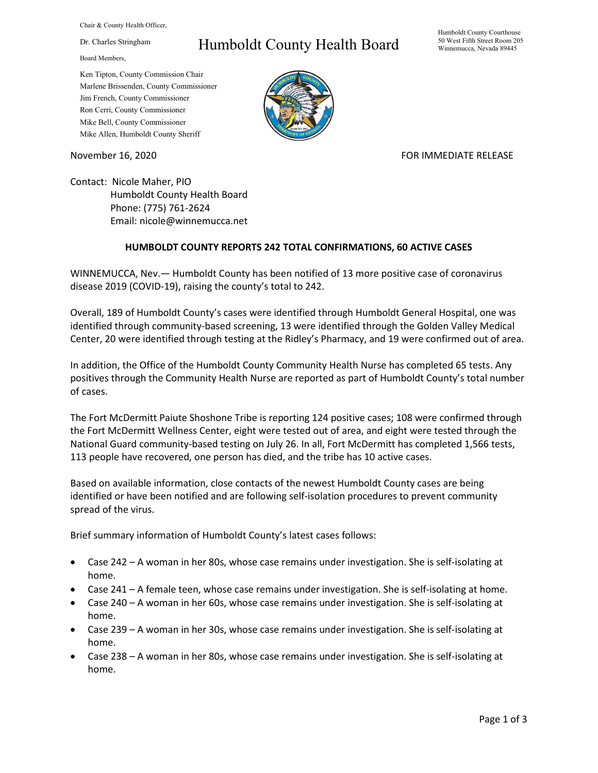Chair & County Health Officer,

Dr. Charles Stringham

Board Members,

## Humboldt County Health Board

Humboldt County Courthouse 50 West Fifth Street Room 205 Winnemucca, Nevada 89445

Ken Tipton, County Commission Chair Marlene Brissenden, County Commissioner Jim French, County Commissioner Ron Cerri, County Commissioner Mike Bell, County Commissioner Mike Allen, Humboldt County Sheriff

November 16, 2020 **FOR IMMEDIATE RELEASE** 

Contact: Nicole Maher, PIO Humboldt County Health Board Phone: (775) 761-2624 Email: nicole@winnemucca.net

## **HUMBOLDT COUNTY REPORTS 242 TOTAL CONFIRMATIONS, 60 ACTIVE CASES**

WINNEMUCCA, Nev.— Humboldt County has been notified of 13 more positive case of coronavirus disease 2019 (COVID-19), raising the county's total to 242.

Overall, 189 of Humboldt County's cases were identified through Humboldt General Hospital, one was identified through community-based screening, 13 were identified through the Golden Valley Medical Center, 20 were identified through testing at the Ridley's Pharmacy, and 19 were confirmed out of area.

In addition, the Office of the Humboldt County Community Health Nurse has completed 65 tests. Any positives through the Community Health Nurse are reported as part of Humboldt County's total number of cases.

The Fort McDermitt Paiute Shoshone Tribe is reporting 124 positive cases; 108 were confirmed through the Fort McDermitt Wellness Center, eight were tested out of area, and eight were tested through the National Guard community-based testing on July 26. In all, Fort McDermitt has completed 1,566 tests, 113 people have recovered, one person has died, and the tribe has 10 active cases.

Based on available information, close contacts of the newest Humboldt County cases are being identified or have been notified and are following self-isolation procedures to prevent community spread of the virus.

Brief summary information of Humboldt County's latest cases follows:

- Case 242 A woman in her 80s, whose case remains under investigation. She is self-isolating at home.
- Case 241 A female teen, whose case remains under investigation. She is self-isolating at home.
- Case 240 A woman in her 60s, whose case remains under investigation. She is self-isolating at home.
- Case 239 A woman in her 30s, whose case remains under investigation. She is self-isolating at home.
- Case 238 A woman in her 80s, whose case remains under investigation. She is self-isolating at home.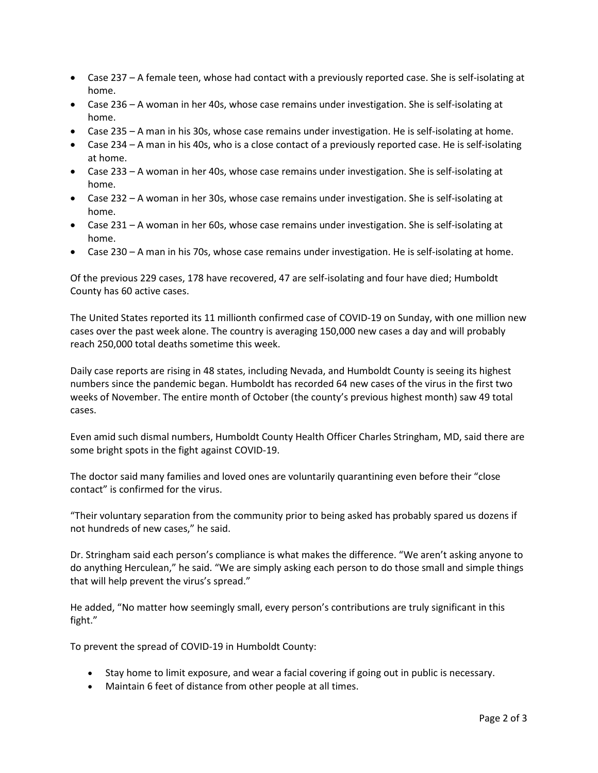- Case 237 A female teen, whose had contact with a previously reported case. She is self-isolating at home.
- Case 236 A woman in her 40s, whose case remains under investigation. She is self-isolating at home.
- Case 235 A man in his 30s, whose case remains under investigation. He is self-isolating at home.
- Case 234 A man in his 40s, who is a close contact of a previously reported case. He is self-isolating at home.
- Case 233 A woman in her 40s, whose case remains under investigation. She is self-isolating at home.
- Case 232 A woman in her 30s, whose case remains under investigation. She is self-isolating at home.
- Case 231 A woman in her 60s, whose case remains under investigation. She is self-isolating at home.
- Case 230 A man in his 70s, whose case remains under investigation. He is self-isolating at home.

Of the previous 229 cases, 178 have recovered, 47 are self-isolating and four have died; Humboldt County has 60 active cases.

The United States reported its 11 millionth confirmed case of COVID-19 on Sunday, with one million new cases over the past week alone. The country is averaging 150,000 new cases a day and will probably reach 250,000 total deaths sometime this week.

Daily case reports are rising in 48 states, including Nevada, and Humboldt County is seeing its highest numbers since the pandemic began. Humboldt has recorded 64 new cases of the virus in the first two weeks of November. The entire month of October (the county's previous highest month) saw 49 total cases.

Even amid such dismal numbers, Humboldt County Health Officer Charles Stringham, MD, said there are some bright spots in the fight against COVID-19.

The doctor said many families and loved ones are voluntarily quarantining even before their "close contact" is confirmed for the virus.

"Their voluntary separation from the community prior to being asked has probably spared us dozens if not hundreds of new cases," he said.

Dr. Stringham said each person's compliance is what makes the difference. "We aren't asking anyone to do anything Herculean," he said. "We are simply asking each person to do those small and simple things that will help prevent the virus's spread."

He added, "No matter how seemingly small, every person's contributions are truly significant in this fight."

To prevent the spread of COVID-19 in Humboldt County:

- Stay home to limit exposure, and wear a facial covering if going out in public is necessary.
- Maintain 6 feet of distance from other people at all times.